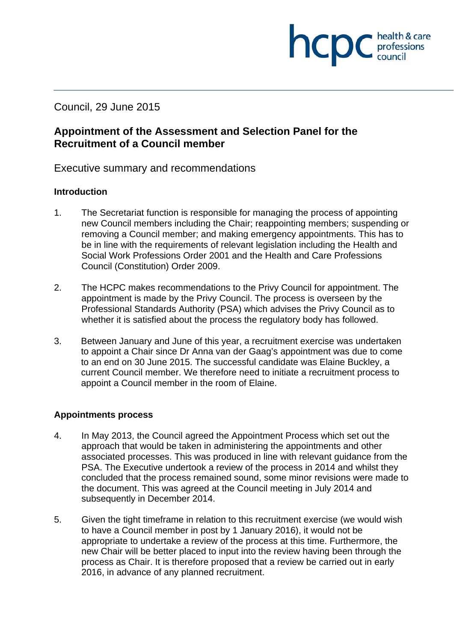Council, 29 June 2015

# **Appointment of the Assessment and Selection Panel for the Recruitment of a Council member**

Executive summary and recommendations

## **Introduction**

1. The Secretariat function is responsible for managing the process of appointing new Council members including the Chair; reappointing members; suspending or removing a Council member; and making emergency appointments. This has to be in line with the requirements of relevant legislation including the Health and Social Work Professions Order 2001 and the Health and Care Professions Council (Constitution) Order 2009.

**INCDC** *c health & care* 

health & care

- 2. The HCPC makes recommendations to the Privy Council for appointment. The appointment is made by the Privy Council. The process is overseen by the Professional Standards Authority (PSA) which advises the Privy Council as to whether it is satisfied about the process the regulatory body has followed.
- 3. Between January and June of this year, a recruitment exercise was undertaken to appoint a Chair since Dr Anna van der Gaag's appointment was due to come to an end on 30 June 2015. The successful candidate was Elaine Buckley, a current Council member. We therefore need to initiate a recruitment process to appoint a Council member in the room of Elaine.

## **Appointments process**

- 4. In May 2013, the Council agreed the Appointment Process which set out the approach that would be taken in administering the appointments and other associated processes. This was produced in line with relevant guidance from the PSA. The Executive undertook a review of the process in 2014 and whilst they concluded that the process remained sound, some minor revisions were made to the document. This was agreed at the Council meeting in July 2014 and subsequently in December 2014.
- 5. Given the tight timeframe in relation to this recruitment exercise (we would wish to have a Council member in post by 1 January 2016), it would not be appropriate to undertake a review of the process at this time. Furthermore, the new Chair will be better placed to input into the review having been through the process as Chair. It is therefore proposed that a review be carried out in early 2016, in advance of any planned recruitment.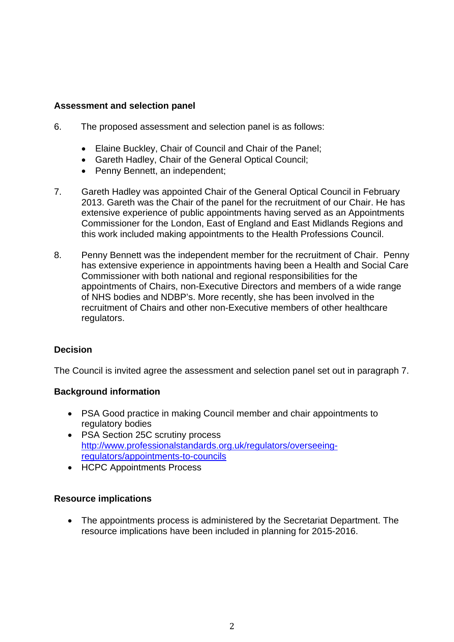### **Assessment and selection panel**

- 6. The proposed assessment and selection panel is as follows:
	- Elaine Buckley, Chair of Council and Chair of the Panel;
	- Gareth Hadley, Chair of the General Optical Council;
	- Penny Bennett, an independent;
- 7. Gareth Hadley was appointed Chair of the General Optical Council in February 2013. Gareth was the Chair of the panel for the recruitment of our Chair. He has extensive experience of public appointments having served as an Appointments Commissioner for the London, East of England and East Midlands Regions and this work included making appointments to the Health Professions Council.
- 8. Penny Bennett was the independent member for the recruitment of Chair. Penny has extensive experience in appointments having been a Health and Social Care Commissioner with both national and regional responsibilities for the appointments of Chairs, non-Executive Directors and members of a wide range of NHS bodies and NDBP's. More recently, she has been involved in the recruitment of Chairs and other non-Executive members of other healthcare regulators.

## **Decision**

The Council is invited agree the assessment and selection panel set out in paragraph 7.

#### **Background information**

- PSA Good practice in making Council member and chair appointments to regulatory bodies
- PSA Section 25C scrutiny process http://www.professionalstandards.org.uk/regulators/overseeingregulators/appointments-to-councils
- HCPC Appointments Process

#### **Resource implications**

 The appointments process is administered by the Secretariat Department. The resource implications have been included in planning for 2015-2016.